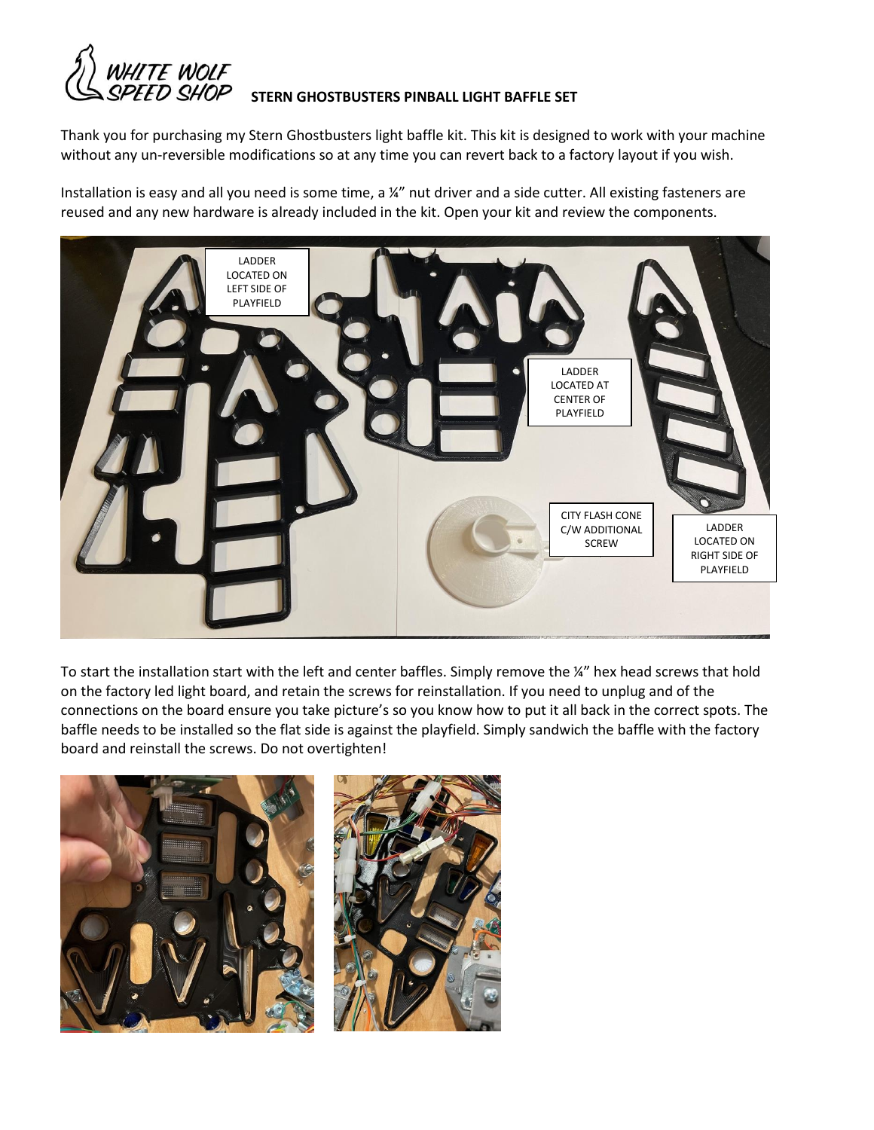

## **STERN GHOSTBUSTERS PINBALL LIGHT BAFFLE SET**

Thank you for purchasing my Stern Ghostbusters light baffle kit. This kit is designed to work with your machine without any un-reversible modifications so at any time you can revert back to a factory layout if you wish.

Installation is easy and all you need is some time, a  $\frac{1}{4}$  nut driver and a side cutter. All existing fasteners are reused and any new hardware is already included in the kit. Open your kit and review the components.



To start the installation start with the left and center baffles. Simply remove the ¼" hex head screws that hold on the factory led light board, and retain the screws for reinstallation. If you need to unplug and of the connections on the board ensure you take picture's so you know how to put it all back in the correct spots. The baffle needs to be installed so the flat side is against the playfield. Simply sandwich the baffle with the factory board and reinstall the screws. Do not overtighten!